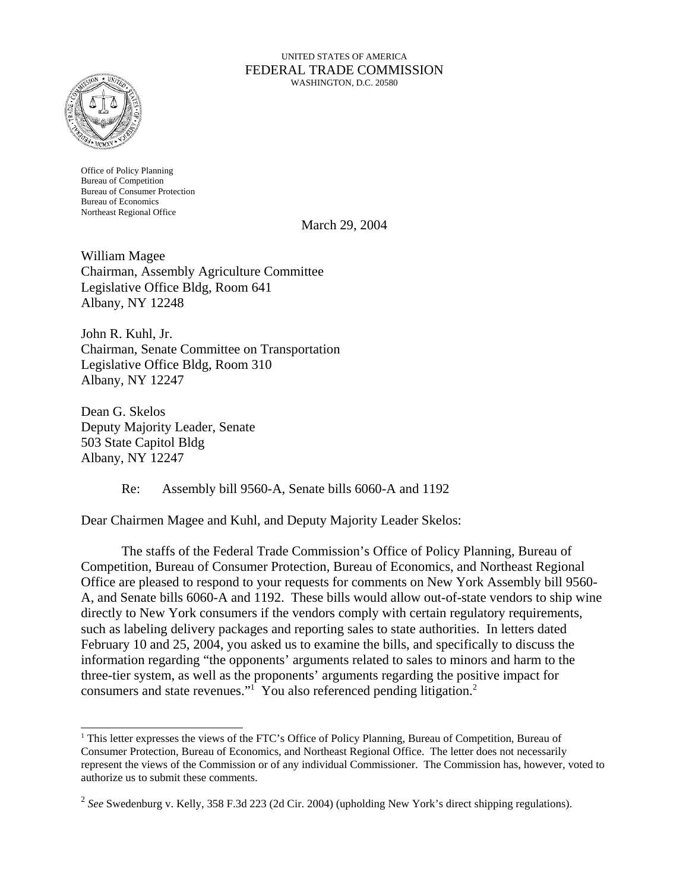#### UNITED STATES OF AMERICA FEDERAL TRADE COMMISSION WASHINGTON, D.C. 20580



Office of Policy Planning Bureau of Competition Bureau of Consumer Protection Bureau of Economics Northeast Regional Office

March 29, 2004

William Magee Chairman, Assembly Agriculture Committee Legislative Office Bldg, Room 641 Albany, NY 12248

John R. Kuhl, Jr. Chairman, Senate Committee on Transportation Legislative Office Bldg, Room 310 Albany, NY 12247

Dean G. Skelos Deputy Majority Leader, Senate 503 State Capitol Bldg Albany, NY 12247

Re: Assembly bill 9560-A, Senate bills 6060-A and 1192

Dear Chairmen Magee and Kuhl, and Deputy Majority Leader Skelos:

The staffs of the Federal Trade Commission's Office of Policy Planning, Bureau of Competition, Bureau of Consumer Protection, Bureau of Economics, and Northeast Regional Office are pleased to respond to your requests for comments on New York Assembly bill 9560- A, and Senate bills 6060-A and 1192. These bills would allow out-of-state vendors to ship wine directly to New York consumers if the vendors comply with certain regulatory requirements, such as labeling delivery packages and reporting sales to state authorities. In letters dated February 10 and 25, 2004, you asked us to examine the bills, and specifically to discuss the information regarding "the opponents' arguments related to sales to minors and harm to the three-tier system, as well as the proponents' arguments regarding the positive impact for consumers and state revenues."<sup>1</sup> You also referenced pending litigation.<sup>2</sup>

<sup>&</sup>lt;sup>1</sup> This letter expresses the views of the FTC's Office of Policy Planning, Bureau of Competition, Bureau of Consumer Protection, Bureau of Economics, and Northeast Regional Office. The letter does not necessarily represent the views of the Commission or of any individual Commissioner. The Commission has, however, voted to authorize us to submit these comments.

<sup>2</sup> *See* Swedenburg v. Kelly, 358 F.3d 223 (2d Cir. 2004) (upholding New York's direct shipping regulations).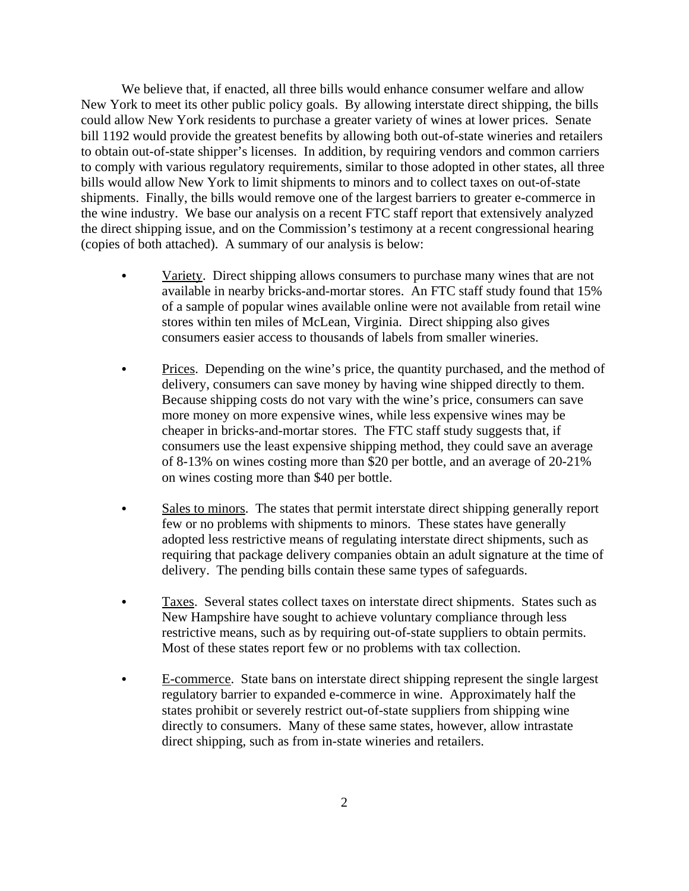We believe that, if enacted, all three bills would enhance consumer welfare and allow New York to meet its other public policy goals. By allowing interstate direct shipping, the bills could allow New York residents to purchase a greater variety of wines at lower prices. Senate bill 1192 would provide the greatest benefits by allowing both out-of-state wineries and retailers to obtain out-of-state shipper's licenses. In addition, by requiring vendors and common carriers to comply with various regulatory requirements, similar to those adopted in other states, all three bills would allow New York to limit shipments to minors and to collect taxes on out-of-state shipments. Finally, the bills would remove one of the largest barriers to greater e-commerce in the wine industry. We base our analysis on a recent FTC staff report that extensively analyzed the direct shipping issue, and on the Commission's testimony at a recent congressional hearing (copies of both attached). A summary of our analysis is below:

- Variety. Direct shipping allows consumers to purchase many wines that are not available in nearby bricks-and-mortar stores. An FTC staff study found that 15% of a sample of popular wines available online were not available from retail wine stores within ten miles of McLean, Virginia. Direct shipping also gives consumers easier access to thousands of labels from smaller wineries.
- Prices. Depending on the wine's price, the quantity purchased, and the method of delivery, consumers can save money by having wine shipped directly to them. Because shipping costs do not vary with the wine's price, consumers can save more money on more expensive wines, while less expensive wines may be cheaper in bricks-and-mortar stores. The FTC staff study suggests that, if consumers use the least expensive shipping method, they could save an average of 8-13% on wines costing more than \$20 per bottle, and an average of 20-21% on wines costing more than \$40 per bottle.
- Sales to minors. The states that permit interstate direct shipping generally report few or no problems with shipments to minors. These states have generally adopted less restrictive means of regulating interstate direct shipments, such as requiring that package delivery companies obtain an adult signature at the time of delivery. The pending bills contain these same types of safeguards.
- Taxes. Several states collect taxes on interstate direct shipments. States such as New Hampshire have sought to achieve voluntary compliance through less restrictive means, such as by requiring out-of-state suppliers to obtain permits. Most of these states report few or no problems with tax collection.
- E-commerce. State bans on interstate direct shipping represent the single largest regulatory barrier to expanded e-commerce in wine. Approximately half the states prohibit or severely restrict out-of-state suppliers from shipping wine directly to consumers. Many of these same states, however, allow intrastate direct shipping, such as from in-state wineries and retailers.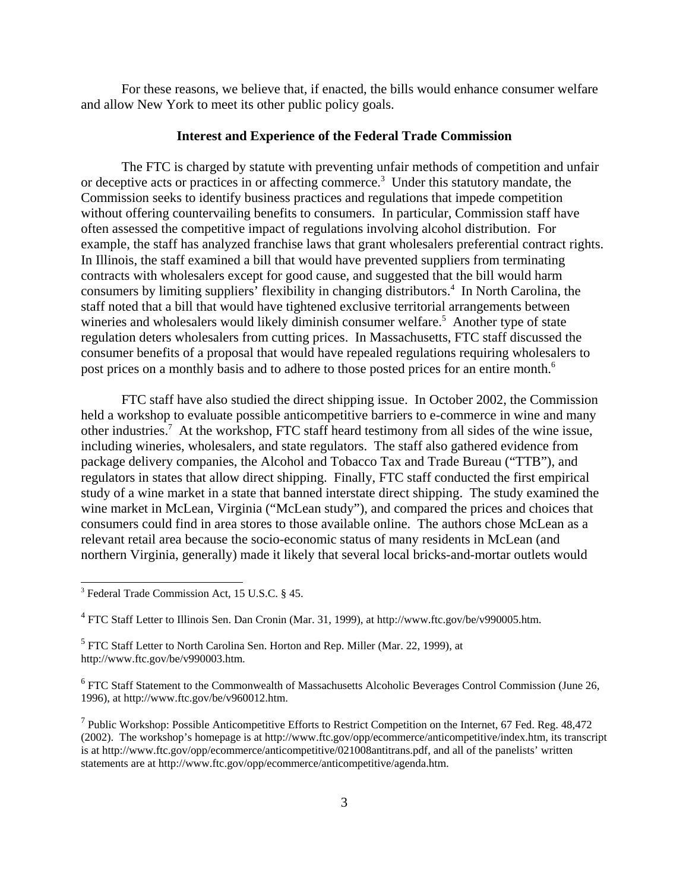For these reasons, we believe that, if enacted, the bills would enhance consumer welfare and allow New York to meet its other public policy goals.

## **Interest and Experience of the Federal Trade Commission**

The FTC is charged by statute with preventing unfair methods of competition and unfair or deceptive acts or practices in or affecting commerce.<sup>3</sup> Under this statutory mandate, the Commission seeks to identify business practices and regulations that impede competition without offering countervailing benefits to consumers. In particular, Commission staff have often assessed the competitive impact of regulations involving alcohol distribution. For example, the staff has analyzed franchise laws that grant wholesalers preferential contract rights. In Illinois, the staff examined a bill that would have prevented suppliers from terminating contracts with wholesalers except for good cause, and suggested that the bill would harm consumers by limiting suppliers' flexibility in changing distributors.<sup>4</sup> In North Carolina, the staff noted that a bill that would have tightened exclusive territorial arrangements between wineries and wholesalers would likely diminish consumer welfare.<sup>5</sup> Another type of state regulation deters wholesalers from cutting prices. In Massachusetts, FTC staff discussed the consumer benefits of a proposal that would have repealed regulations requiring wholesalers to post prices on a monthly basis and to adhere to those posted prices for an entire month.<sup>6</sup>

FTC staff have also studied the direct shipping issue. In October 2002, the Commission held a workshop to evaluate possible anticompetitive barriers to e-commerce in wine and many other industries.<sup>7</sup> At the workshop, FTC staff heard testimony from all sides of the wine issue, including wineries, wholesalers, and state regulators. The staff also gathered evidence from package delivery companies, the Alcohol and Tobacco Tax and Trade Bureau ("TTB"), and regulators in states that allow direct shipping. Finally, FTC staff conducted the first empirical study of a wine market in a state that banned interstate direct shipping. The study examined the wine market in McLean, Virginia ("McLean study"), and compared the prices and choices that consumers could find in area stores to those available online. The authors chose McLean as a relevant retail area because the socio-economic status of many residents in McLean (and northern Virginia, generally) made it likely that several local bricks-and-mortar outlets would

<sup>5</sup> FTC Staff Letter to North Carolina Sen. Horton and Rep. Miller (Mar. 22, 1999), at http://www.ftc.gov/be/v990003.htm.

<sup>6</sup> FTC Staff Statement to the Commonwealth of Massachusetts Alcoholic Beverages Control Commission (June 26, 1996), at http://www.ftc.gov/be/v960012.htm.

<sup>7</sup> Public Workshop: Possible Anticompetitive Efforts to Restrict Competition on the Internet, 67 Fed. Reg. 48,472 (2002). The workshop's homepage is at http://www.ftc.gov/opp/ecommerce/anticompetitive/index.htm, its transcript is at http://www.ftc.gov/opp/ecommerce/anticompetitive/021008antitrans.pdf, and all of the panelists' written statements are at http://www.ftc.gov/opp/ecommerce/anticompetitive/agenda.htm.

<sup>3</sup> Federal Trade Commission Act, 15 U.S.C. § 45.

<sup>&</sup>lt;sup>4</sup> FTC Staff Letter to Illinois Sen. Dan Cronin (Mar. 31, 1999), at http://www.ftc.gov/be/v990005.htm.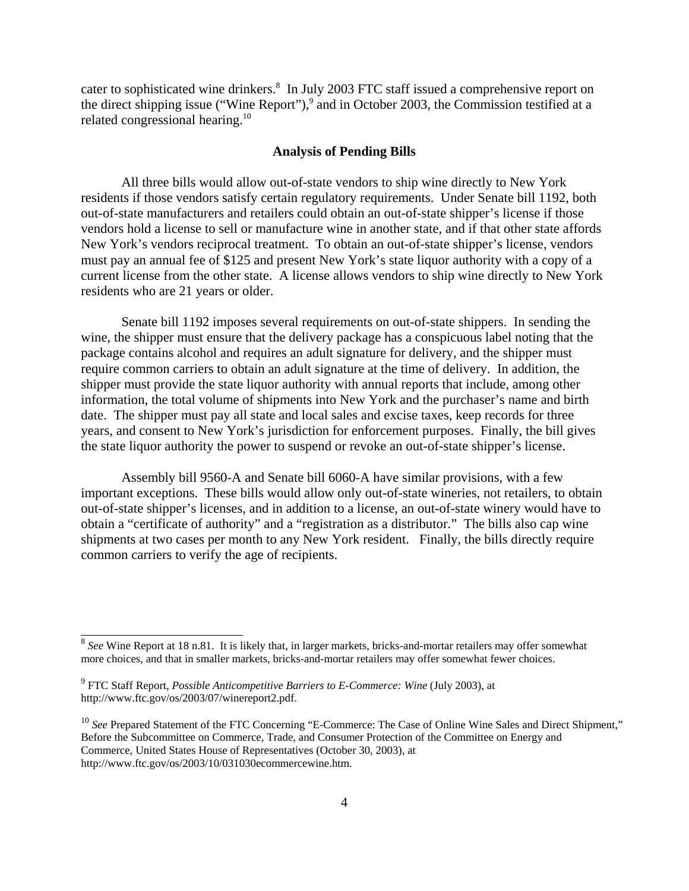cater to sophisticated wine drinkers.<sup>8</sup> In July 2003 FTC staff issued a comprehensive report on the direct shipping issue ("Wine Report"),<sup>9</sup> and in October 2003, the Commission testified at a related congressional hearing.<sup>10</sup>

#### **Analysis of Pending Bills**

All three bills would allow out-of-state vendors to ship wine directly to New York residents if those vendors satisfy certain regulatory requirements. Under Senate bill 1192, both out-of-state manufacturers and retailers could obtain an out-of-state shipper's license if those vendors hold a license to sell or manufacture wine in another state, and if that other state affords New York's vendors reciprocal treatment. To obtain an out-of-state shipper's license, vendors must pay an annual fee of \$125 and present New York's state liquor authority with a copy of a current license from the other state. A license allows vendors to ship wine directly to New York residents who are 21 years or older.

Senate bill 1192 imposes several requirements on out-of-state shippers. In sending the wine, the shipper must ensure that the delivery package has a conspicuous label noting that the package contains alcohol and requires an adult signature for delivery, and the shipper must require common carriers to obtain an adult signature at the time of delivery. In addition, the shipper must provide the state liquor authority with annual reports that include, among other information, the total volume of shipments into New York and the purchaser's name and birth date. The shipper must pay all state and local sales and excise taxes, keep records for three years, and consent to New York's jurisdiction for enforcement purposes. Finally, the bill gives the state liquor authority the power to suspend or revoke an out-of-state shipper's license.

Assembly bill 9560-A and Senate bill 6060-A have similar provisions, with a few important exceptions. These bills would allow only out-of-state wineries, not retailers, to obtain out-of-state shipper's licenses, and in addition to a license, an out-of-state winery would have to obtain a "certificate of authority" and a "registration as a distributor." The bills also cap wine shipments at two cases per month to any New York resident. Finally, the bills directly require common carriers to verify the age of recipients.

<sup>8</sup> *See* Wine Report at 18 n.81. It is likely that, in larger markets, bricks-and-mortar retailers may offer somewhat more choices, and that in smaller markets, bricks-and-mortar retailers may offer somewhat fewer choices.

<sup>&</sup>lt;sup>9</sup> FTC Staff Report, *Possible Anticompetitive Barriers to E-Commerce: Wine* (July 2003), at http://www.ftc.gov/os/2003/07/winereport2.pdf.

<sup>&</sup>lt;sup>10</sup> See Prepared Statement of the FTC Concerning "E-Commerce: The Case of Online Wine Sales and Direct Shipment," Before the Subcommittee on Commerce, Trade, and Consumer Protection of the Committee on Energy and Commerce, United States House of Representatives (October 30, 2003), at http://www.ftc.gov/os/2003/10/031030ecommercewine.htm.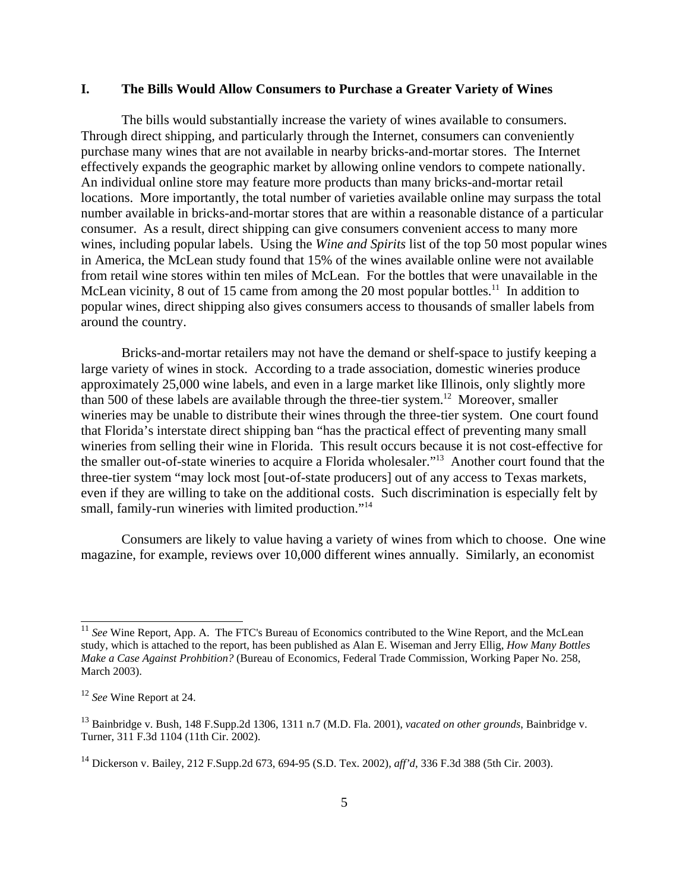### **I. The Bills Would Allow Consumers to Purchase a Greater Variety of Wines**

The bills would substantially increase the variety of wines available to consumers. Through direct shipping, and particularly through the Internet, consumers can conveniently purchase many wines that are not available in nearby bricks-and-mortar stores. The Internet effectively expands the geographic market by allowing online vendors to compete nationally. An individual online store may feature more products than many bricks-and-mortar retail locations. More importantly, the total number of varieties available online may surpass the total number available in bricks-and-mortar stores that are within a reasonable distance of a particular consumer. As a result, direct shipping can give consumers convenient access to many more wines, including popular labels. Using the *Wine and Spirits* list of the top 50 most popular wines in America, the McLean study found that 15% of the wines available online were not available from retail wine stores within ten miles of McLean. For the bottles that were unavailable in the McLean vicinity, 8 out of 15 came from among the 20 most popular bottles.<sup>11</sup> In addition to popular wines, direct shipping also gives consumers access to thousands of smaller labels from around the country.

Bricks-and-mortar retailers may not have the demand or shelf-space to justify keeping a large variety of wines in stock. According to a trade association, domestic wineries produce approximately 25,000 wine labels, and even in a large market like Illinois, only slightly more than 500 of these labels are available through the three-tier system.<sup>12</sup> Moreover, smaller wineries may be unable to distribute their wines through the three-tier system. One court found that Florida's interstate direct shipping ban "has the practical effect of preventing many small wineries from selling their wine in Florida. This result occurs because it is not cost-effective for the smaller out-of-state wineries to acquire a Florida wholesaler."13 Another court found that the three-tier system "may lock most [out-of-state producers] out of any access to Texas markets, even if they are willing to take on the additional costs. Such discrimination is especially felt by small, family-run wineries with limited production."<sup>14</sup>

Consumers are likely to value having a variety of wines from which to choose. One wine magazine, for example, reviews over 10,000 different wines annually. Similarly, an economist

<sup>&</sup>lt;sup>11</sup> See Wine Report, App. A. The FTC's Bureau of Economics contributed to the Wine Report, and the McLean study, which is attached to the report, has been published as Alan E. Wiseman and Jerry Ellig, *How Many Bottles Make a Case Against Prohbition?* (Bureau of Economics, Federal Trade Commission, Working Paper No. 258, March 2003).

<sup>12</sup> *See* Wine Report at 24.

<sup>13</sup> Bainbridge v. Bush, 148 F.Supp.2d 1306, 1311 n.7 (M.D. Fla. 2001), *vacated on other grounds*, Bainbridge v. Turner, 311 F.3d 1104 (11th Cir. 2002).

<sup>14</sup> Dickerson v. Bailey, 212 F.Supp.2d 673, 694-95 (S.D. Tex. 2002), *aff'd*, 336 F.3d 388 (5th Cir. 2003).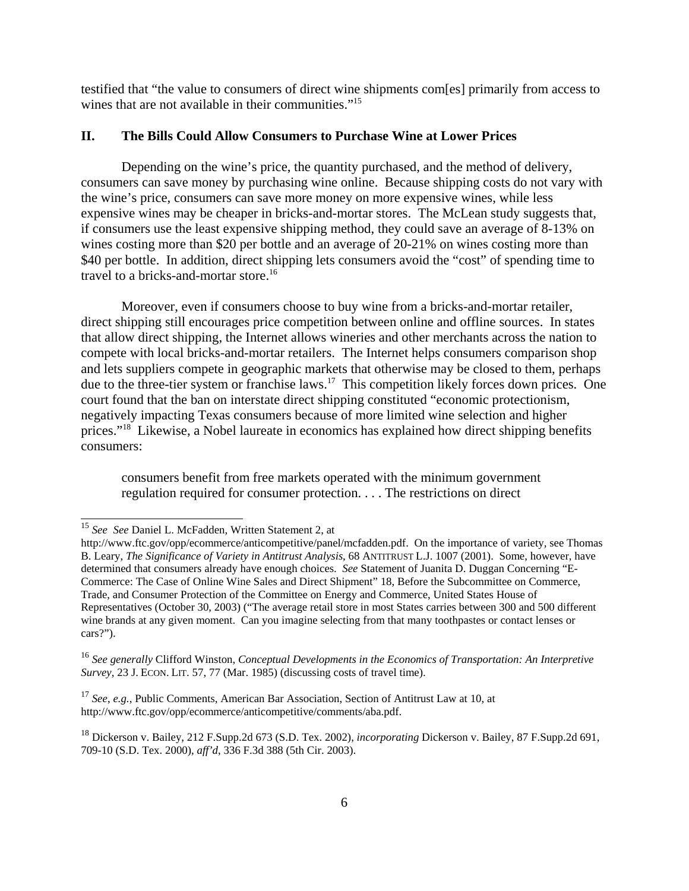testified that "the value to consumers of direct wine shipments com[es] primarily from access to wines that are not available in their communities."<sup>15</sup>

# **II. The Bills Could Allow Consumers to Purchase Wine at Lower Prices**

Depending on the wine's price, the quantity purchased, and the method of delivery, consumers can save money by purchasing wine online. Because shipping costs do not vary with the wine's price, consumers can save more money on more expensive wines, while less expensive wines may be cheaper in bricks-and-mortar stores. The McLean study suggests that, if consumers use the least expensive shipping method, they could save an average of 8-13% on wines costing more than \$20 per bottle and an average of 20-21% on wines costing more than \$40 per bottle. In addition, direct shipping lets consumers avoid the "cost" of spending time to travel to a bricks-and-mortar store.<sup>16</sup>

Moreover, even if consumers choose to buy wine from a bricks-and-mortar retailer, direct shipping still encourages price competition between online and offline sources. In states that allow direct shipping, the Internet allows wineries and other merchants across the nation to compete with local bricks-and-mortar retailers. The Internet helps consumers comparison shop and lets suppliers compete in geographic markets that otherwise may be closed to them, perhaps due to the three-tier system or franchise laws.<sup>17</sup> This competition likely forces down prices. One court found that the ban on interstate direct shipping constituted "economic protectionism, negatively impacting Texas consumers because of more limited wine selection and higher prices."18 Likewise, a Nobel laureate in economics has explained how direct shipping benefits consumers:

consumers benefit from free markets operated with the minimum government regulation required for consumer protection. . . . The restrictions on direct

<sup>15</sup> *See See* Daniel L. McFadden, Written Statement 2, at

http://www.ftc.gov/opp/ecommerce/anticompetitive/panel/mcfadden.pdf. On the importance of variety, see Thomas B. Leary, *The Significance of Variety in Antitrust Analysis*, 68 ANTITRUST L.J. 1007 (2001). Some, however, have determined that consumers already have enough choices. *See* Statement of Juanita D. Duggan Concerning "E-Commerce: The Case of Online Wine Sales and Direct Shipment" 18, Before the Subcommittee on Commerce, Trade, and Consumer Protection of the Committee on Energy and Commerce, United States House of Representatives (October 30, 2003) ("The average retail store in most States carries between 300 and 500 different wine brands at any given moment. Can you imagine selecting from that many toothpastes or contact lenses or cars?").

<sup>16</sup> *See generally* Clifford Winston, *Conceptual Developments in the Economics of Transportation: An Interpretive Survey*, 23 J. ECON. LIT. 57, 77 (Mar. 1985) (discussing costs of travel time).

<sup>17</sup> *See*, *e.g.*, Public Comments, American Bar Association, Section of Antitrust Law at 10, at http://www.ftc.gov/opp/ecommerce/anticompetitive/comments/aba.pdf.

<sup>18</sup> Dickerson v. Bailey, 212 F.Supp.2d 673 (S.D. Tex. 2002), *incorporating* Dickerson v. Bailey, 87 F.Supp.2d 691, 709-10 (S.D. Tex. 2000), *aff'd*, 336 F.3d 388 (5th Cir. 2003).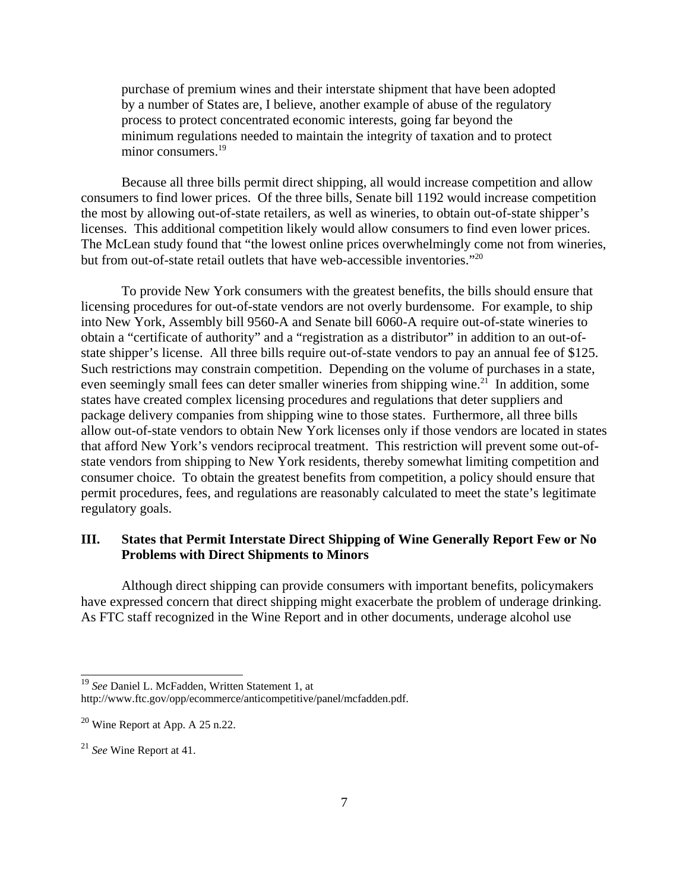purchase of premium wines and their interstate shipment that have been adopted by a number of States are, I believe, another example of abuse of the regulatory process to protect concentrated economic interests, going far beyond the minimum regulations needed to maintain the integrity of taxation and to protect minor consumers.<sup>19</sup>

Because all three bills permit direct shipping, all would increase competition and allow consumers to find lower prices. Of the three bills, Senate bill 1192 would increase competition the most by allowing out-of-state retailers, as well as wineries, to obtain out-of-state shipper's licenses. This additional competition likely would allow consumers to find even lower prices. The McLean study found that "the lowest online prices overwhelmingly come not from wineries, but from out-of-state retail outlets that have web-accessible inventories."<sup>20</sup>

To provide New York consumers with the greatest benefits, the bills should ensure that licensing procedures for out-of-state vendors are not overly burdensome. For example, to ship into New York, Assembly bill 9560-A and Senate bill 6060-A require out-of-state wineries to obtain a "certificate of authority" and a "registration as a distributor" in addition to an out-ofstate shipper's license. All three bills require out-of-state vendors to pay an annual fee of \$125. Such restrictions may constrain competition. Depending on the volume of purchases in a state, even seemingly small fees can deter smaller wineries from shipping wine.<sup>21</sup> In addition, some states have created complex licensing procedures and regulations that deter suppliers and package delivery companies from shipping wine to those states. Furthermore, all three bills allow out-of-state vendors to obtain New York licenses only if those vendors are located in states that afford New York's vendors reciprocal treatment. This restriction will prevent some out-ofstate vendors from shipping to New York residents, thereby somewhat limiting competition and consumer choice. To obtain the greatest benefits from competition, a policy should ensure that permit procedures, fees, and regulations are reasonably calculated to meet the state's legitimate regulatory goals.

# **III. States that Permit Interstate Direct Shipping of Wine Generally Report Few or No Problems with Direct Shipments to Minors**

Although direct shipping can provide consumers with important benefits, policymakers have expressed concern that direct shipping might exacerbate the problem of underage drinking. As FTC staff recognized in the Wine Report and in other documents, underage alcohol use

<sup>19</sup> *See* Daniel L. McFadden, Written Statement 1, at

http://www.ftc.gov/opp/ecommerce/anticompetitive/panel/mcfadden.pdf.

 $20$  Wine Report at App. A 25 n.22.

<sup>21</sup> *See* Wine Report at 41.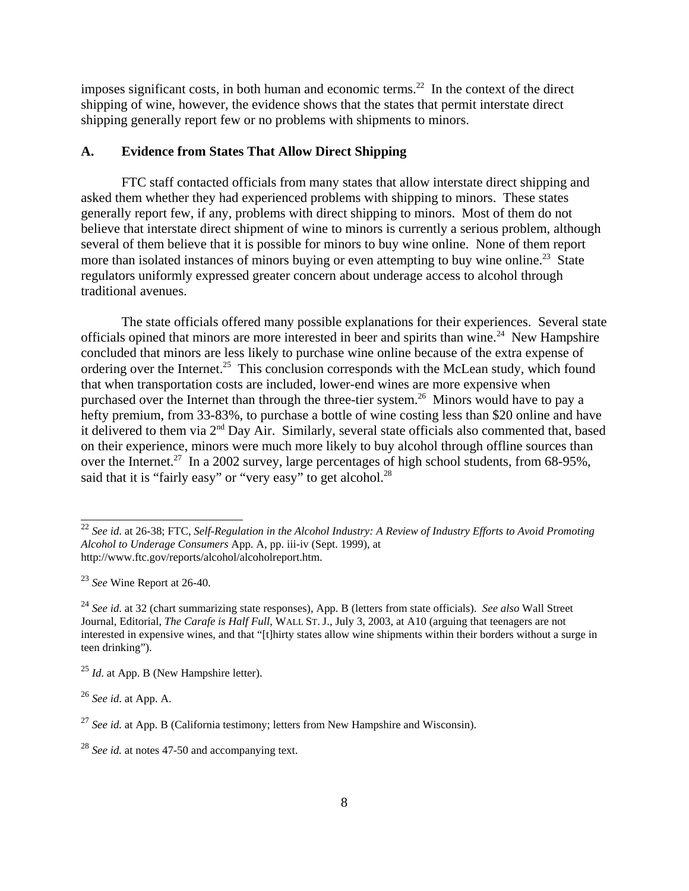imposes significant costs, in both human and economic terms.<sup>22</sup> In the context of the direct shipping of wine, however, the evidence shows that the states that permit interstate direct shipping generally report few or no problems with shipments to minors.

### **A. Evidence from States That Allow Direct Shipping**

FTC staff contacted officials from many states that allow interstate direct shipping and asked them whether they had experienced problems with shipping to minors. These states generally report few, if any, problems with direct shipping to minors. Most of them do not believe that interstate direct shipment of wine to minors is currently a serious problem, although several of them believe that it is possible for minors to buy wine online. None of them report more than isolated instances of minors buying or even attempting to buy wine online.<sup>23</sup> State regulators uniformly expressed greater concern about underage access to alcohol through traditional avenues.

The state officials offered many possible explanations for their experiences. Several state officials opined that minors are more interested in beer and spirits than wine.<sup>24</sup> New Hampshire concluded that minors are less likely to purchase wine online because of the extra expense of ordering over the Internet.<sup>25</sup> This conclusion corresponds with the McLean study, which found that when transportation costs are included, lower-end wines are more expensive when purchased over the Internet than through the three-tier system.<sup>26</sup> Minors would have to pay a hefty premium, from 33-83%, to purchase a bottle of wine costing less than \$20 online and have it delivered to them via 2nd Day Air. Similarly, several state officials also commented that, based on their experience, minors were much more likely to buy alcohol through offline sources than over the Internet.<sup>27</sup> In a 2002 survey, large percentages of high school students, from 68-95%, said that it is "fairly easy" or "very easy" to get alcohol. $^{28}$ 

<sup>22</sup> *See id*. at 26-38; FTC, *Self-Regulation in the Alcohol Industry: A Review of Industry Efforts to Avoid Promoting Alcohol to Underage Consumers* App. A, pp. iii-iv (Sept. 1999), at http://www.ftc.gov/reports/alcohol/alcoholreport.htm.

<sup>23</sup> *See* Wine Report at 26-40.

<sup>24</sup> *See id*. at 32 (chart summarizing state responses), App. B (letters from state officials). *See also* Wall Street Journal, Editorial, *The Carafe is Half Full*, WALL ST. J., July 3, 2003, at A10 (arguing that teenagers are not interested in expensive wines, and that "[t]hirty states allow wine shipments within their borders without a surge in teen drinking").

<sup>&</sup>lt;sup>25</sup> *Id.* at App. B (New Hampshire letter).

<sup>26</sup> *See id*. at App. A.

<sup>27</sup> *See id.* at App. B (California testimony; letters from New Hampshire and Wisconsin).

<sup>28</sup> *See id.* at notes 47-50 and accompanying text.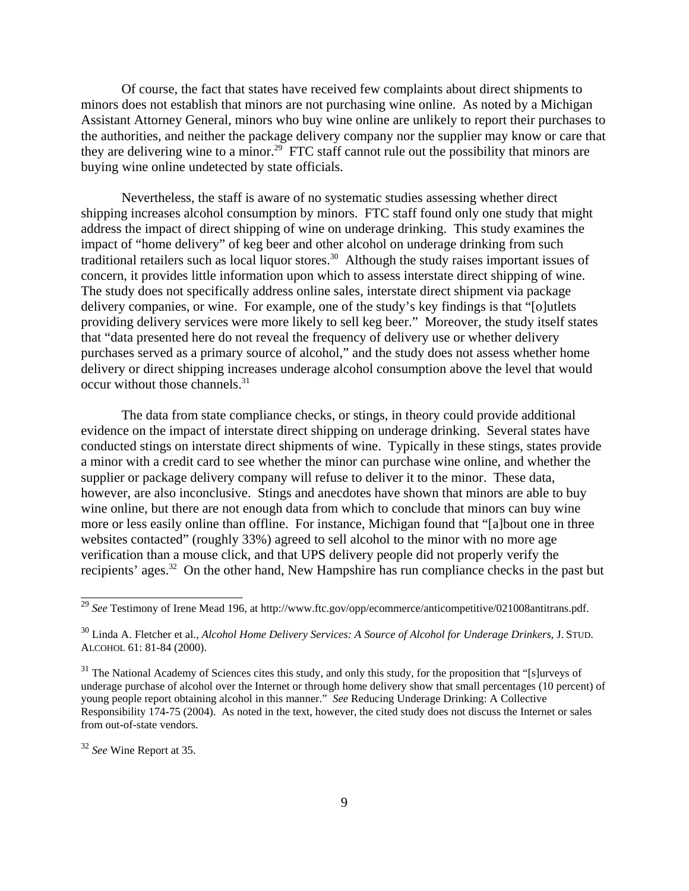Of course, the fact that states have received few complaints about direct shipments to minors does not establish that minors are not purchasing wine online. As noted by a Michigan Assistant Attorney General, minors who buy wine online are unlikely to report their purchases to the authorities, and neither the package delivery company nor the supplier may know or care that they are delivering wine to a minor.<sup>29</sup> FTC staff cannot rule out the possibility that minors are buying wine online undetected by state officials.

Nevertheless, the staff is aware of no systematic studies assessing whether direct shipping increases alcohol consumption by minors. FTC staff found only one study that might address the impact of direct shipping of wine on underage drinking. This study examines the impact of "home delivery" of keg beer and other alcohol on underage drinking from such traditional retailers such as local liquor stores.30 Although the study raises important issues of concern, it provides little information upon which to assess interstate direct shipping of wine. The study does not specifically address online sales, interstate direct shipment via package delivery companies, or wine. For example, one of the study's key findings is that "[o]utlets providing delivery services were more likely to sell keg beer." Moreover, the study itself states that "data presented here do not reveal the frequency of delivery use or whether delivery purchases served as a primary source of alcohol," and the study does not assess whether home delivery or direct shipping increases underage alcohol consumption above the level that would occur without those channels.<sup>31</sup>

The data from state compliance checks, or stings, in theory could provide additional evidence on the impact of interstate direct shipping on underage drinking. Several states have conducted stings on interstate direct shipments of wine. Typically in these stings, states provide a minor with a credit card to see whether the minor can purchase wine online, and whether the supplier or package delivery company will refuse to deliver it to the minor. These data, however, are also inconclusive. Stings and anecdotes have shown that minors are able to buy wine online, but there are not enough data from which to conclude that minors can buy wine more or less easily online than offline. For instance, Michigan found that "[a]bout one in three websites contacted" (roughly 33%) agreed to sell alcohol to the minor with no more age verification than a mouse click, and that UPS delivery people did not properly verify the recipients' ages.<sup>32</sup> On the other hand, New Hampshire has run compliance checks in the past but

<sup>&</sup>lt;sup>29</sup> See Testimony of Irene Mead 196, at http://www.ftc.gov/opp/ecommerce/anticompetitive/021008antitrans.pdf.

<sup>30</sup> Linda A. Fletcher et al., *Alcohol Home Delivery Services: A Source of Alcohol for Underage Drinkers*, J. STUD. ALCOHOL 61: 81-84 (2000).

 $31$  The National Academy of Sciences cites this study, and only this study, for the proposition that "[s]urveys of underage purchase of alcohol over the Internet or through home delivery show that small percentages (10 percent) of young people report obtaining alcohol in this manner." *See* Reducing Underage Drinking: A Collective Responsibility 174-75 (2004). As noted in the text, however, the cited study does not discuss the Internet or sales from out-of-state vendors.

<sup>32</sup> *See* Wine Report at 35.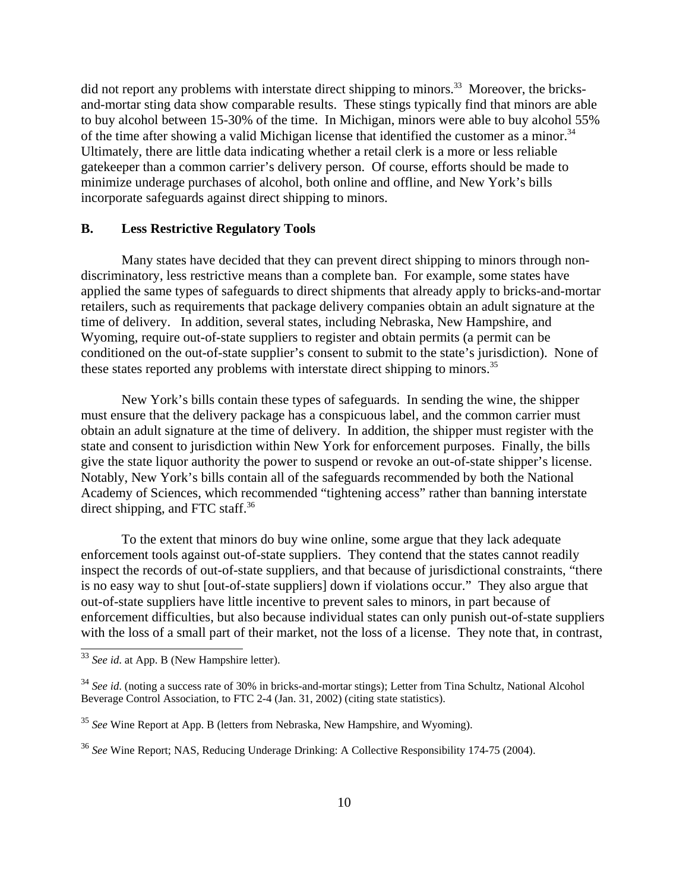did not report any problems with interstate direct shipping to minors.<sup>33</sup> Moreover, the bricksand-mortar sting data show comparable results. These stings typically find that minors are able to buy alcohol between 15-30% of the time. In Michigan, minors were able to buy alcohol 55% of the time after showing a valid Michigan license that identified the customer as a minor.<sup>34</sup> Ultimately, there are little data indicating whether a retail clerk is a more or less reliable gatekeeper than a common carrier's delivery person. Of course, efforts should be made to minimize underage purchases of alcohol, both online and offline, and New York's bills incorporate safeguards against direct shipping to minors.

### **B. Less Restrictive Regulatory Tools**

Many states have decided that they can prevent direct shipping to minors through nondiscriminatory, less restrictive means than a complete ban. For example, some states have applied the same types of safeguards to direct shipments that already apply to bricks-and-mortar retailers, such as requirements that package delivery companies obtain an adult signature at the time of delivery. In addition, several states, including Nebraska, New Hampshire, and Wyoming, require out-of-state suppliers to register and obtain permits (a permit can be conditioned on the out-of-state supplier's consent to submit to the state's jurisdiction). None of these states reported any problems with interstate direct shipping to minors.<sup>35</sup>

New York's bills contain these types of safeguards. In sending the wine, the shipper must ensure that the delivery package has a conspicuous label, and the common carrier must obtain an adult signature at the time of delivery. In addition, the shipper must register with the state and consent to jurisdiction within New York for enforcement purposes. Finally, the bills give the state liquor authority the power to suspend or revoke an out-of-state shipper's license. Notably, New York's bills contain all of the safeguards recommended by both the National Academy of Sciences, which recommended "tightening access" rather than banning interstate direct shipping, and FTC staff.<sup>36</sup>

To the extent that minors do buy wine online, some argue that they lack adequate enforcement tools against out-of-state suppliers. They contend that the states cannot readily inspect the records of out-of-state suppliers, and that because of jurisdictional constraints, "there is no easy way to shut [out-of-state suppliers] down if violations occur." They also argue that out-of-state suppliers have little incentive to prevent sales to minors, in part because of enforcement difficulties, but also because individual states can only punish out-of-state suppliers with the loss of a small part of their market, not the loss of a license. They note that, in contrast,

<sup>&</sup>lt;sup>33</sup> See id. at App. B (New Hampshire letter).

<sup>34</sup> *See id*. (noting a success rate of 30% in bricks-and-mortar stings); Letter from Tina Schultz, National Alcohol Beverage Control Association, to FTC 2-4 (Jan. 31, 2002) (citing state statistics).

<sup>35</sup> *See* Wine Report at App. B (letters from Nebraska, New Hampshire, and Wyoming).

<sup>36</sup> *See* Wine Report; NAS, Reducing Underage Drinking: A Collective Responsibility 174-75 (2004).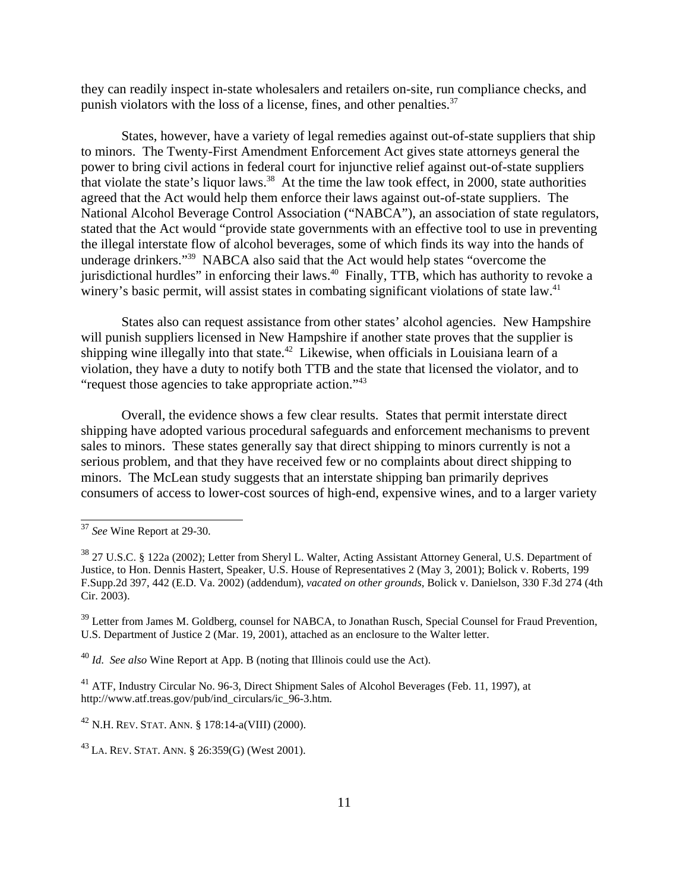they can readily inspect in-state wholesalers and retailers on-site, run compliance checks, and punish violators with the loss of a license, fines, and other penalties.<sup>37</sup>

States, however, have a variety of legal remedies against out-of-state suppliers that ship to minors. The Twenty-First Amendment Enforcement Act gives state attorneys general the power to bring civil actions in federal court for injunctive relief against out-of-state suppliers that violate the state's liquor laws.<sup>38</sup> At the time the law took effect, in 2000, state authorities agreed that the Act would help them enforce their laws against out-of-state suppliers. The National Alcohol Beverage Control Association ("NABCA"), an association of state regulators, stated that the Act would "provide state governments with an effective tool to use in preventing the illegal interstate flow of alcohol beverages, some of which finds its way into the hands of underage drinkers."39 NABCA also said that the Act would help states "overcome the jurisdictional hurdles" in enforcing their laws.40 Finally, TTB, which has authority to revoke a winery's basic permit, will assist states in combating significant violations of state law.<sup>41</sup>

States also can request assistance from other states' alcohol agencies. New Hampshire will punish suppliers licensed in New Hampshire if another state proves that the supplier is shipping wine illegally into that state.<sup>42</sup> Likewise, when officials in Louisiana learn of a violation, they have a duty to notify both TTB and the state that licensed the violator, and to "request those agencies to take appropriate action."43

Overall, the evidence shows a few clear results. States that permit interstate direct shipping have adopted various procedural safeguards and enforcement mechanisms to prevent sales to minors. These states generally say that direct shipping to minors currently is not a serious problem, and that they have received few or no complaints about direct shipping to minors. The McLean study suggests that an interstate shipping ban primarily deprives consumers of access to lower-cost sources of high-end, expensive wines, and to a larger variety

<sup>40</sup> *Id*. *See also* Wine Report at App. B (noting that Illinois could use the Act).

<sup>41</sup> ATF, Industry Circular No. 96-3, Direct Shipment Sales of Alcohol Beverages (Feb. 11, 1997), at http://www.atf.treas.gov/pub/ind\_circulars/ic\_96-3.htm.

 $^{42}$  N.H. REV. STAT. ANN. § 178:14-a(VIII) (2000).

<sup>43</sup> LA. REV. STAT. ANN. § 26:359(G) (West 2001).

<sup>37</sup> *See* Wine Report at 29-30.

<sup>38 27</sup> U.S.C. § 122a (2002); Letter from Sheryl L. Walter, Acting Assistant Attorney General, U.S. Department of Justice, to Hon. Dennis Hastert, Speaker, U.S. House of Representatives 2 (May 3, 2001); Bolick v. Roberts, 199 F.Supp.2d 397, 442 (E.D. Va. 2002) (addendum), *vacated on other grounds*, Bolick v. Danielson, 330 F.3d 274 (4th Cir. 2003).

<sup>&</sup>lt;sup>39</sup> Letter from James M. Goldberg, counsel for NABCA, to Jonathan Rusch, Special Counsel for Fraud Prevention, U.S. Department of Justice 2 (Mar. 19, 2001), attached as an enclosure to the Walter letter.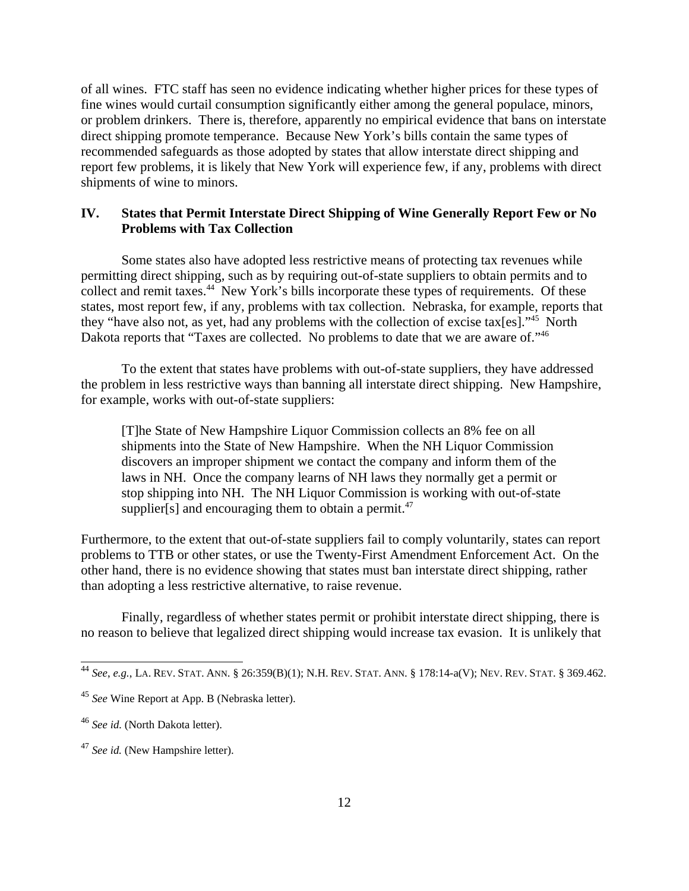of all wines. FTC staff has seen no evidence indicating whether higher prices for these types of fine wines would curtail consumption significantly either among the general populace, minors, or problem drinkers. There is, therefore, apparently no empirical evidence that bans on interstate direct shipping promote temperance. Because New York's bills contain the same types of recommended safeguards as those adopted by states that allow interstate direct shipping and report few problems, it is likely that New York will experience few, if any, problems with direct shipments of wine to minors.

# **IV. States that Permit Interstate Direct Shipping of Wine Generally Report Few or No Problems with Tax Collection**

Some states also have adopted less restrictive means of protecting tax revenues while permitting direct shipping, such as by requiring out-of-state suppliers to obtain permits and to collect and remit taxes.<sup>44</sup> New York's bills incorporate these types of requirements. Of these states, most report few, if any, problems with tax collection. Nebraska, for example, reports that they "have also not, as yet, had any problems with the collection of excise tax[es]."<sup>45</sup> North Dakota reports that "Taxes are collected. No problems to date that we are aware of."<sup>46</sup>

To the extent that states have problems with out-of-state suppliers, they have addressed the problem in less restrictive ways than banning all interstate direct shipping. New Hampshire, for example, works with out-of-state suppliers:

[T]he State of New Hampshire Liquor Commission collects an 8% fee on all shipments into the State of New Hampshire. When the NH Liquor Commission discovers an improper shipment we contact the company and inform them of the laws in NH. Once the company learns of NH laws they normally get a permit or stop shipping into NH. The NH Liquor Commission is working with out-of-state supplier[s] and encouraging them to obtain a permit.<sup>47</sup>

Furthermore, to the extent that out-of-state suppliers fail to comply voluntarily, states can report problems to TTB or other states, or use the Twenty-First Amendment Enforcement Act. On the other hand, there is no evidence showing that states must ban interstate direct shipping, rather than adopting a less restrictive alternative, to raise revenue.

Finally, regardless of whether states permit or prohibit interstate direct shipping, there is no reason to believe that legalized direct shipping would increase tax evasion. It is unlikely that

<sup>44</sup> *See*, *e.g.*, LA. REV. STAT. ANN. § 26:359(B)(1); N.H. REV. STAT. ANN. § 178:14-a(V); NEV. REV. STAT. § 369.462.

<sup>45</sup> *See* Wine Report at App. B (Nebraska letter).

<sup>46</sup> *See id.* (North Dakota letter).

<sup>47</sup> *See id.* (New Hampshire letter).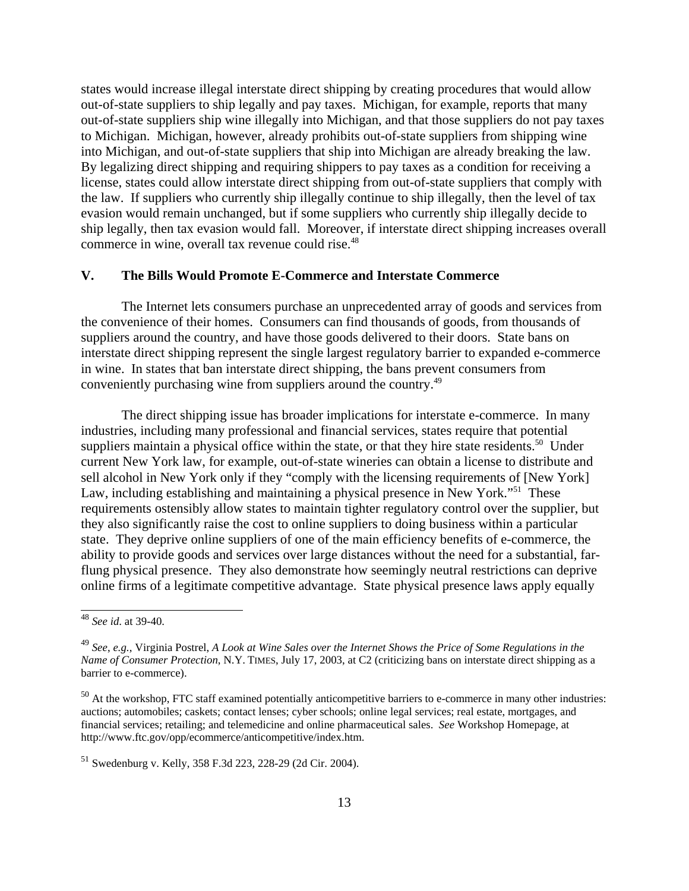states would increase illegal interstate direct shipping by creating procedures that would allow out-of-state suppliers to ship legally and pay taxes. Michigan, for example, reports that many out-of-state suppliers ship wine illegally into Michigan, and that those suppliers do not pay taxes to Michigan. Michigan, however, already prohibits out-of-state suppliers from shipping wine into Michigan, and out-of-state suppliers that ship into Michigan are already breaking the law. By legalizing direct shipping and requiring shippers to pay taxes as a condition for receiving a license, states could allow interstate direct shipping from out-of-state suppliers that comply with the law. If suppliers who currently ship illegally continue to ship illegally, then the level of tax evasion would remain unchanged, but if some suppliers who currently ship illegally decide to ship legally, then tax evasion would fall. Moreover, if interstate direct shipping increases overall commerce in wine, overall tax revenue could rise.<sup>48</sup>

## **V. The Bills Would Promote E-Commerce and Interstate Commerce**

The Internet lets consumers purchase an unprecedented array of goods and services from the convenience of their homes. Consumers can find thousands of goods, from thousands of suppliers around the country, and have those goods delivered to their doors. State bans on interstate direct shipping represent the single largest regulatory barrier to expanded e-commerce in wine. In states that ban interstate direct shipping, the bans prevent consumers from conveniently purchasing wine from suppliers around the country.49

The direct shipping issue has broader implications for interstate e-commerce. In many industries, including many professional and financial services, states require that potential suppliers maintain a physical office within the state, or that they hire state residents.<sup>50</sup> Under current New York law, for example, out-of-state wineries can obtain a license to distribute and sell alcohol in New York only if they "comply with the licensing requirements of [New York] Law, including establishing and maintaining a physical presence in New York."<sup>51</sup> These requirements ostensibly allow states to maintain tighter regulatory control over the supplier, but they also significantly raise the cost to online suppliers to doing business within a particular state. They deprive online suppliers of one of the main efficiency benefits of e-commerce, the ability to provide goods and services over large distances without the need for a substantial, farflung physical presence. They also demonstrate how seemingly neutral restrictions can deprive online firms of a legitimate competitive advantage. State physical presence laws apply equally

<sup>48</sup> *See id*. at 39-40.

<sup>49</sup> *See*, *e.g.*, Virginia Postrel, *A Look at Wine Sales over the Internet Shows the Price of Some Regulations in the Name of Consumer Protection*, N.Y. TIMES, July 17, 2003, at C2 (criticizing bans on interstate direct shipping as a barrier to e-commerce).

<sup>&</sup>lt;sup>50</sup> At the workshop, FTC staff examined potentially anticompetitive barriers to e-commerce in many other industries: auctions; automobiles; caskets; contact lenses; cyber schools; online legal services; real estate, mortgages, and financial services; retailing; and telemedicine and online pharmaceutical sales. *See* Workshop Homepage, at http://www.ftc.gov/opp/ecommerce/anticompetitive/index.htm.

<sup>51</sup> Swedenburg v. Kelly, 358 F.3d 223, 228-29 (2d Cir. 2004).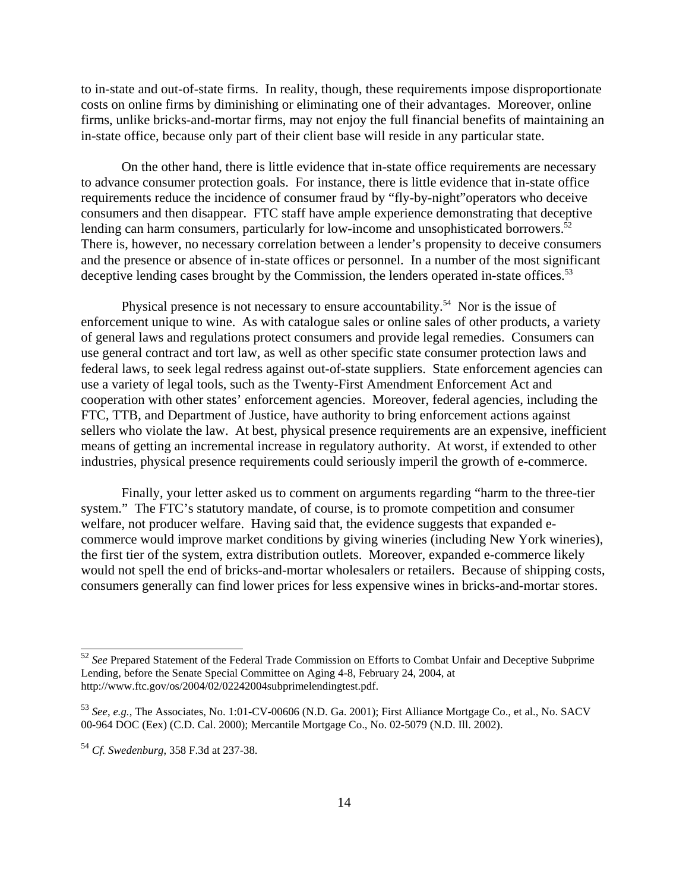to in-state and out-of-state firms. In reality, though, these requirements impose disproportionate costs on online firms by diminishing or eliminating one of their advantages. Moreover, online firms, unlike bricks-and-mortar firms, may not enjoy the full financial benefits of maintaining an in-state office, because only part of their client base will reside in any particular state.

On the other hand, there is little evidence that in-state office requirements are necessary to advance consumer protection goals. For instance, there is little evidence that in-state office requirements reduce the incidence of consumer fraud by "fly-by-night"operators who deceive consumers and then disappear. FTC staff have ample experience demonstrating that deceptive lending can harm consumers, particularly for low-income and unsophisticated borrowers. $52$ There is, however, no necessary correlation between a lender's propensity to deceive consumers and the presence or absence of in-state offices or personnel. In a number of the most significant deceptive lending cases brought by the Commission, the lenders operated in-state offices.<sup>53</sup>

Physical presence is not necessary to ensure accountability.<sup>54</sup> Nor is the issue of enforcement unique to wine. As with catalogue sales or online sales of other products, a variety of general laws and regulations protect consumers and provide legal remedies. Consumers can use general contract and tort law, as well as other specific state consumer protection laws and federal laws, to seek legal redress against out-of-state suppliers. State enforcement agencies can use a variety of legal tools, such as the Twenty-First Amendment Enforcement Act and cooperation with other states' enforcement agencies. Moreover, federal agencies, including the FTC, TTB, and Department of Justice, have authority to bring enforcement actions against sellers who violate the law. At best, physical presence requirements are an expensive, inefficient means of getting an incremental increase in regulatory authority. At worst, if extended to other industries, physical presence requirements could seriously imperil the growth of e-commerce.

Finally, your letter asked us to comment on arguments regarding "harm to the three-tier system." The FTC's statutory mandate, of course, is to promote competition and consumer welfare, not producer welfare. Having said that, the evidence suggests that expanded ecommerce would improve market conditions by giving wineries (including New York wineries), the first tier of the system, extra distribution outlets. Moreover, expanded e-commerce likely would not spell the end of bricks-and-mortar wholesalers or retailers. Because of shipping costs, consumers generally can find lower prices for less expensive wines in bricks-and-mortar stores.

<sup>52</sup> *See* Prepared Statement of the Federal Trade Commission on Efforts to Combat Unfair and Deceptive Subprime Lending, before the Senate Special Committee on Aging 4-8, February 24, 2004, at http://www.ftc.gov/os/2004/02/02242004subprimelendingtest.pdf.

<sup>53</sup> *See*, *e.g.*, The Associates, No. 1:01-CV-00606 (N.D. Ga. 2001); First Alliance Mortgage Co., et al., No. SACV 00-964 DOC (Eex) (C.D. Cal. 2000); Mercantile Mortgage Co., No. 02-5079 (N.D. Ill. 2002).

<sup>54</sup> *Cf. Swedenburg*, 358 F.3d at 237-38.